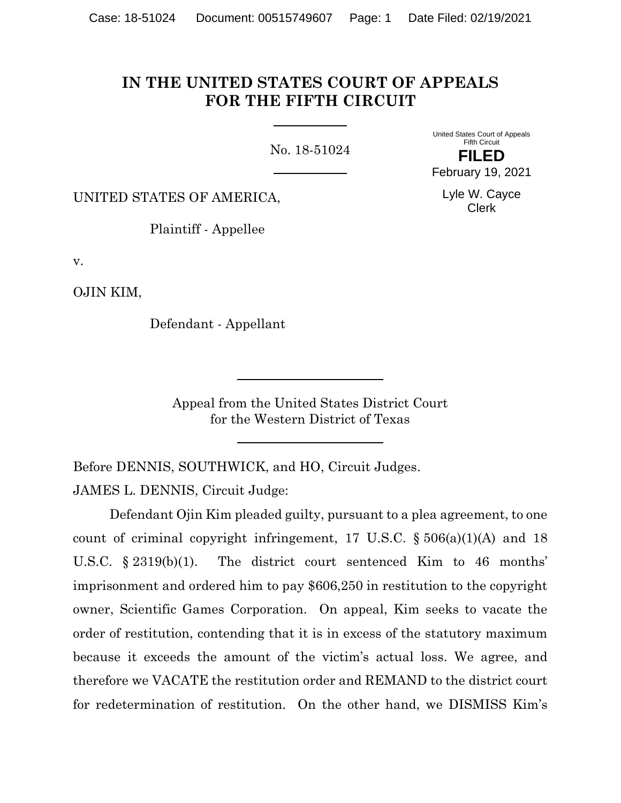# **IN THE UNITED STATES COURT OF APPEALS FOR THE FIFTH CIRCUIT**

No. 18-51024

United States Court of Appeals Fifth Circuit **FILED**

February 19, 2021

Lyle W. Cayce Clerk

UNITED STATES OF AMERICA,

Plaintiff - Appellee

v.

OJIN KIM,

Defendant - Appellant

Appeal from the United States District Court for the Western District of Texas

Before DENNIS, SOUTHWICK, and HO, Circuit Judges.

JAMES L. DENNIS, Circuit Judge:

Defendant Ojin Kim pleaded guilty, pursuant to a plea agreement, to one count of criminal copyright infringement, 17 U.S.C.  $\S 506(a)(1)(A)$  and 18 U.S.C. § 2319(b)(1). The district court sentenced Kim to 46 months' imprisonment and ordered him to pay \$606,250 in restitution to the copyright owner, Scientific Games Corporation. On appeal, Kim seeks to vacate the order of restitution, contending that it is in excess of the statutory maximum because it exceeds the amount of the victim's actual loss. We agree, and therefore we VACATE the restitution order and REMAND to the district court for redetermination of restitution. On the other hand, we DISMISS Kim's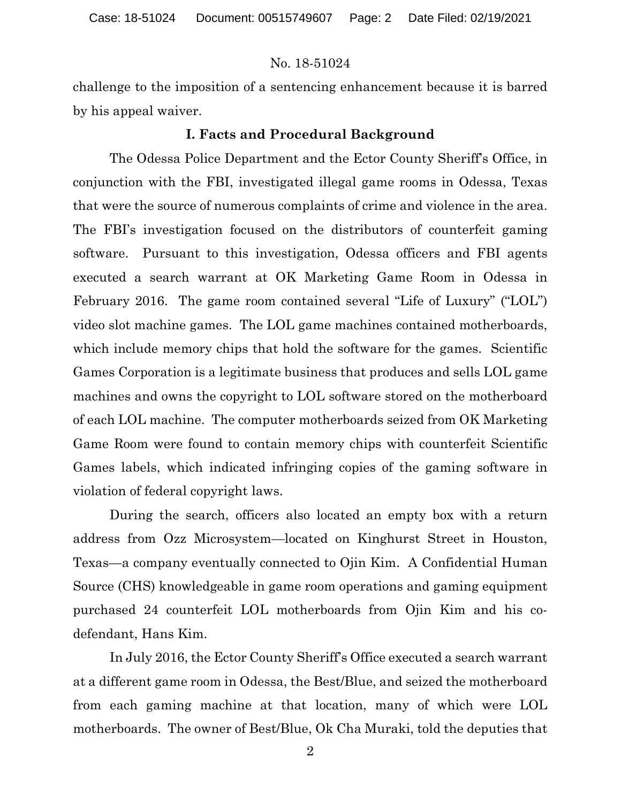challenge to the imposition of a sentencing enhancement because it is barred by his appeal waiver.

#### **I. Facts and Procedural Background**

The Odessa Police Department and the Ector County Sheriff's Office, in conjunction with the FBI, investigated illegal game rooms in Odessa, Texas that were the source of numerous complaints of crime and violence in the area. The FBI's investigation focused on the distributors of counterfeit gaming software. Pursuant to this investigation, Odessa officers and FBI agents executed a search warrant at OK Marketing Game Room in Odessa in February 2016. The game room contained several "Life of Luxury" ("LOL") video slot machine games. The LOL game machines contained motherboards, which include memory chips that hold the software for the games. Scientific Games Corporation is a legitimate business that produces and sells LOL game machines and owns the copyright to LOL software stored on the motherboard of each LOL machine. The computer motherboards seized from OK Marketing Game Room were found to contain memory chips with counterfeit Scientific Games labels, which indicated infringing copies of the gaming software in violation of federal copyright laws.

During the search, officers also located an empty box with a return address from Ozz Microsystem—located on Kinghurst Street in Houston, Texas—a company eventually connected to Ojin Kim. A Confidential Human Source (CHS) knowledgeable in game room operations and gaming equipment purchased 24 counterfeit LOL motherboards from Ojin Kim and his codefendant, Hans Kim.

In July 2016, the Ector County Sheriff's Office executed a search warrant at a different game room in Odessa, the Best/Blue, and seized the motherboard from each gaming machine at that location, many of which were LOL motherboards. The owner of Best/Blue, Ok Cha Muraki, told the deputies that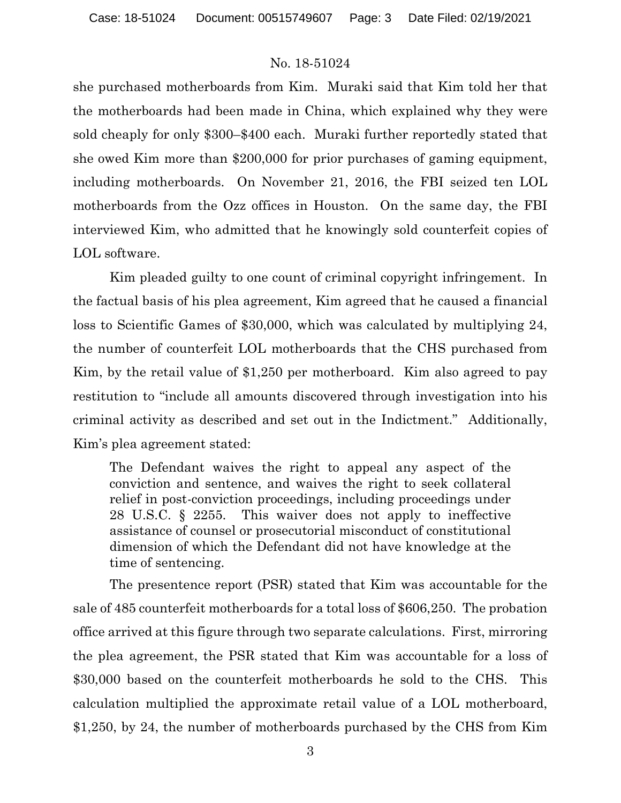she purchased motherboards from Kim. Muraki said that Kim told her that the motherboards had been made in China, which explained why they were sold cheaply for only \$300–\$400 each. Muraki further reportedly stated that she owed Kim more than \$200,000 for prior purchases of gaming equipment, including motherboards. On November 21, 2016, the FBI seized ten LOL motherboards from the Ozz offices in Houston. On the same day, the FBI interviewed Kim, who admitted that he knowingly sold counterfeit copies of LOL software.

Kim pleaded guilty to one count of criminal copyright infringement. In the factual basis of his plea agreement, Kim agreed that he caused a financial loss to Scientific Games of \$30,000, which was calculated by multiplying 24, the number of counterfeit LOL motherboards that the CHS purchased from Kim, by the retail value of \$1,250 per motherboard. Kim also agreed to pay restitution to "include all amounts discovered through investigation into his criminal activity as described and set out in the Indictment." Additionally, Kim's plea agreement stated:

The Defendant waives the right to appeal any aspect of the conviction and sentence, and waives the right to seek collateral relief in post-conviction proceedings, including proceedings under 28 U.S.C. § 2255. This waiver does not apply to ineffective assistance of counsel or prosecutorial misconduct of constitutional dimension of which the Defendant did not have knowledge at the time of sentencing.

The presentence report (PSR) stated that Kim was accountable for the sale of 485 counterfeit motherboards for a total loss of \$606,250. The probation office arrived at this figure through two separate calculations. First, mirroring the plea agreement, the PSR stated that Kim was accountable for a loss of \$30,000 based on the counterfeit motherboards he sold to the CHS. This calculation multiplied the approximate retail value of a LOL motherboard, \$1,250, by 24, the number of motherboards purchased by the CHS from Kim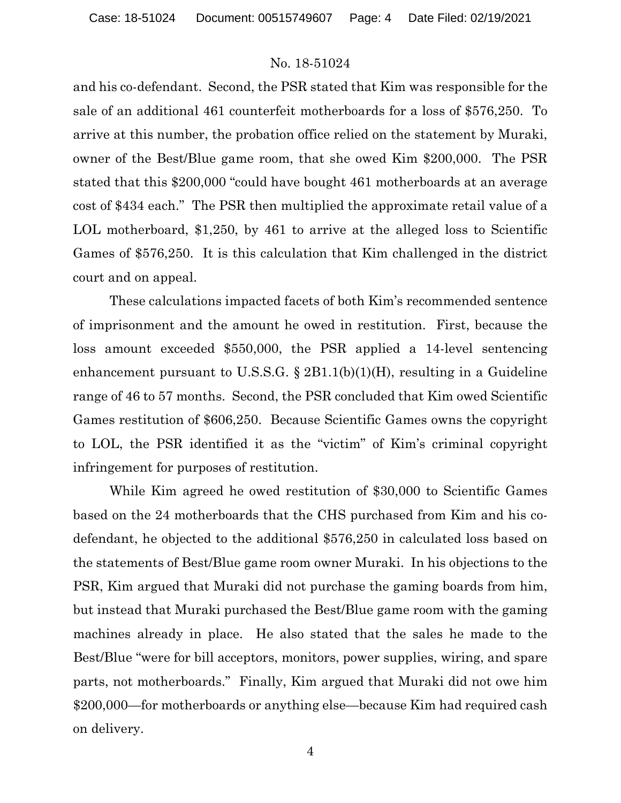and his co-defendant. Second, the PSR stated that Kim was responsible for the sale of an additional 461 counterfeit motherboards for a loss of \$576,250. To arrive at this number, the probation office relied on the statement by Muraki, owner of the Best/Blue game room, that she owed Kim \$200,000. The PSR stated that this \$200,000 "could have bought 461 motherboards at an average cost of \$434 each." The PSR then multiplied the approximate retail value of a LOL motherboard, \$1,250, by 461 to arrive at the alleged loss to Scientific Games of \$576,250. It is this calculation that Kim challenged in the district court and on appeal.

These calculations impacted facets of both Kim's recommended sentence of imprisonment and the amount he owed in restitution. First, because the loss amount exceeded \$550,000, the PSR applied a 14-level sentencing enhancement pursuant to U.S.S.G.  $\S 2B1.1(b)(1)(H)$ , resulting in a Guideline range of 46 to 57 months. Second, the PSR concluded that Kim owed Scientific Games restitution of \$606,250. Because Scientific Games owns the copyright to LOL, the PSR identified it as the "victim" of Kim's criminal copyright infringement for purposes of restitution.

While Kim agreed he owed restitution of \$30,000 to Scientific Games based on the 24 motherboards that the CHS purchased from Kim and his codefendant, he objected to the additional \$576,250 in calculated loss based on the statements of Best/Blue game room owner Muraki. In his objections to the PSR, Kim argued that Muraki did not purchase the gaming boards from him, but instead that Muraki purchased the Best/Blue game room with the gaming machines already in place. He also stated that the sales he made to the Best/Blue "were for bill acceptors, monitors, power supplies, wiring, and spare parts, not motherboards." Finally, Kim argued that Muraki did not owe him \$200,000—for motherboards or anything else—because Kim had required cash on delivery.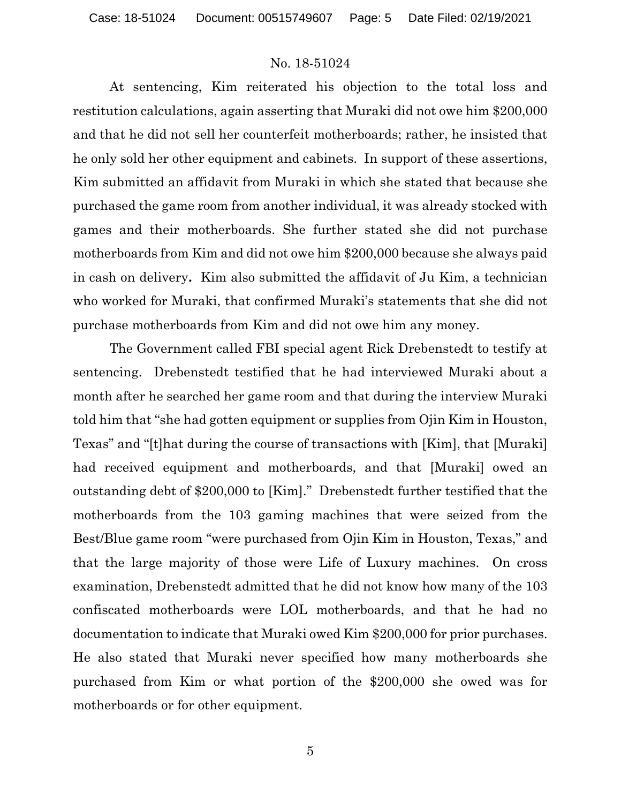At sentencing, Kim reiterated his objection to the total loss and restitution calculations, again asserting that Muraki did not owe him \$200,000 and that he did not sell her counterfeit motherboards; rather, he insisted that he only sold her other equipment and cabinets. In support of these assertions, Kim submitted an affidavit from Muraki in which she stated that because she purchased the game room from another individual, it was already stocked with games and their motherboards. She further stated she did not purchase motherboards from Kim and did not owe him \$200,000 because she always paid in cash on delivery**.** Kim also submitted the affidavit of Ju Kim, a technician who worked for Muraki, that confirmed Muraki's statements that she did not purchase motherboards from Kim and did not owe him any money.

The Government called FBI special agent Rick Drebenstedt to testify at sentencing. Drebenstedt testified that he had interviewed Muraki about a month after he searched her game room and that during the interview Muraki told him that "she had gotten equipment or supplies from Ojin Kim in Houston, Texas" and "[t]hat during the course of transactions with [Kim], that [Muraki] had received equipment and motherboards, and that [Muraki] owed an outstanding debt of \$200,000 to [Kim]." Drebenstedt further testified that the motherboards from the 103 gaming machines that were seized from the Best/Blue game room "were purchased from Ojin Kim in Houston, Texas," and that the large majority of those were Life of Luxury machines. On cross examination, Drebenstedt admitted that he did not know how many of the 103 confiscated motherboards were LOL motherboards, and that he had no documentation to indicate that Muraki owed Kim \$200,000 for prior purchases. He also stated that Muraki never specified how many motherboards she purchased from Kim or what portion of the \$200,000 she owed was for motherboards or for other equipment.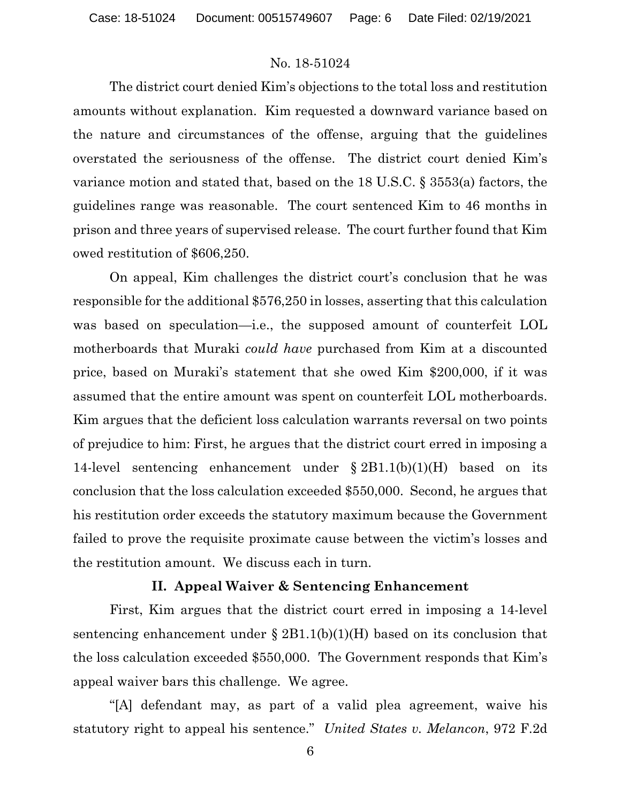The district court denied Kim's objections to the total loss and restitution amounts without explanation. Kim requested a downward variance based on the nature and circumstances of the offense, arguing that the guidelines overstated the seriousness of the offense. The district court denied Kim's variance motion and stated that, based on the 18 U.S.C. § 3553(a) factors, the guidelines range was reasonable. The court sentenced Kim to 46 months in prison and three years of supervised release. The court further found that Kim owed restitution of \$606,250.

On appeal, Kim challenges the district court's conclusion that he was responsible for the additional \$576,250 in losses, asserting that this calculation was based on speculation—i.e., the supposed amount of counterfeit LOL motherboards that Muraki *could have* purchased from Kim at a discounted price, based on Muraki's statement that she owed Kim \$200,000, if it was assumed that the entire amount was spent on counterfeit LOL motherboards. Kim argues that the deficient loss calculation warrants reversal on two points of prejudice to him: First, he argues that the district court erred in imposing a 14-level sentencing enhancement under § 2B1.1(b)(1)(H) based on its conclusion that the loss calculation exceeded \$550,000. Second, he argues that his restitution order exceeds the statutory maximum because the Government failed to prove the requisite proximate cause between the victim's losses and the restitution amount. We discuss each in turn.

### **II. Appeal Waiver & Sentencing Enhancement**

First, Kim argues that the district court erred in imposing a 14-level sentencing enhancement under  $\S 2B1.1(b)(1)(H)$  based on its conclusion that the loss calculation exceeded \$550,000. The Government responds that Kim's appeal waiver bars this challenge. We agree.

"[A] defendant may, as part of a valid plea agreement, waive his statutory right to appeal his sentence." *United States v. Melancon*, 972 F.2d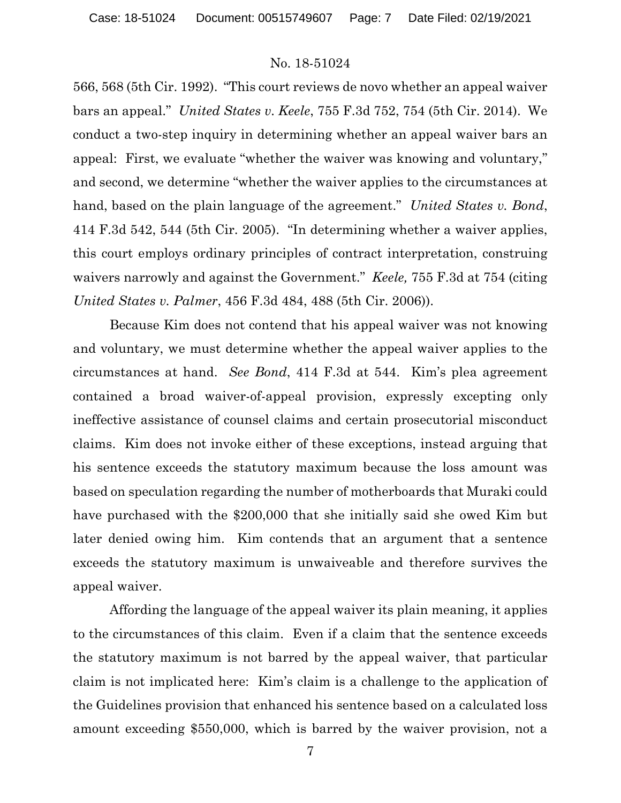566, 568 (5th Cir. 1992). "This court reviews de novo whether an appeal waiver bars an appeal." *United States v. Keele*, 755 F.3d 752, 754 (5th Cir. 2014). We conduct a two-step inquiry in determining whether an appeal waiver bars an appeal: First, we evaluate "whether the waiver was knowing and voluntary," and second, we determine "whether the waiver applies to the circumstances at hand, based on the plain language of the agreement." *United States v. Bond*, 414 F.3d 542, 544 (5th Cir. 2005). "In determining whether a waiver applies, this court employs ordinary principles of contract interpretation, construing waivers narrowly and against the Government." *Keele,* 755 F.3d at 754 (citing *United States v. Palmer*, 456 F.3d 484, 488 (5th Cir. 2006)).

Because Kim does not contend that his appeal waiver was not knowing and voluntary, we must determine whether the appeal waiver applies to the circumstances at hand. *See Bond*, 414 F.3d at 544. Kim's plea agreement contained a broad waiver-of-appeal provision, expressly excepting only ineffective assistance of counsel claims and certain prosecutorial misconduct claims. Kim does not invoke either of these exceptions, instead arguing that his sentence exceeds the statutory maximum because the loss amount was based on speculation regarding the number of motherboards that Muraki could have purchased with the \$200,000 that she initially said she owed Kim but later denied owing him. Kim contends that an argument that a sentence exceeds the statutory maximum is unwaiveable and therefore survives the appeal waiver.

Affording the language of the appeal waiver its plain meaning, it applies to the circumstances of this claim. Even if a claim that the sentence exceeds the statutory maximum is not barred by the appeal waiver, that particular claim is not implicated here: Kim's claim is a challenge to the application of the Guidelines provision that enhanced his sentence based on a calculated loss amount exceeding \$550,000, which is barred by the waiver provision, not a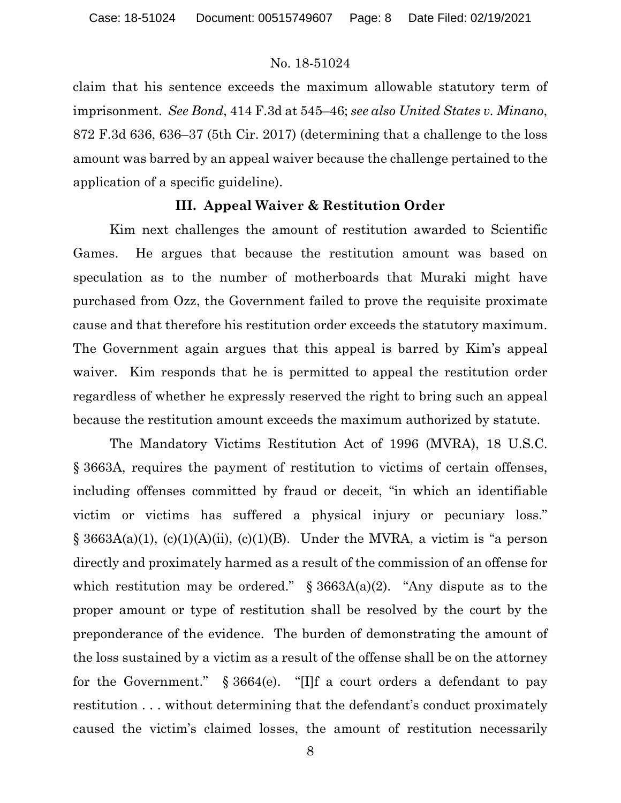claim that his sentence exceeds the maximum allowable statutory term of imprisonment. *See Bond*, 414 F.3d at 545–46; *see also United States v. Minano*, 872 F.3d 636, 636–37 (5th Cir. 2017) (determining that a challenge to the loss amount was barred by an appeal waiver because the challenge pertained to the application of a specific guideline).

#### **III. Appeal Waiver & Restitution Order**

Kim next challenges the amount of restitution awarded to Scientific Games. He argues that because the restitution amount was based on speculation as to the number of motherboards that Muraki might have purchased from Ozz, the Government failed to prove the requisite proximate cause and that therefore his restitution order exceeds the statutory maximum. The Government again argues that this appeal is barred by Kim's appeal waiver. Kim responds that he is permitted to appeal the restitution order regardless of whether he expressly reserved the right to bring such an appeal because the restitution amount exceeds the maximum authorized by statute.

The Mandatory Victims Restitution Act of 1996 (MVRA), 18 U.S.C. § 3663A, requires the payment of restitution to victims of certain offenses, including offenses committed by fraud or deceit, "in which an identifiable victim or victims has suffered a physical injury or pecuniary loss."  $\S$  3663A(a)(1), (c)(1)(A)(ii), (c)(1)(B). Under the MVRA, a victim is "a person directly and proximately harmed as a result of the commission of an offense for which restitution may be ordered."  $\S$  3663A(a)(2). "Any dispute as to the proper amount or type of restitution shall be resolved by the court by the preponderance of the evidence. The burden of demonstrating the amount of the loss sustained by a victim as a result of the offense shall be on the attorney for the Government." § 3664(e). "[I]f a court orders a defendant to pay restitution . . . without determining that the defendant's conduct proximately caused the victim's claimed losses, the amount of restitution necessarily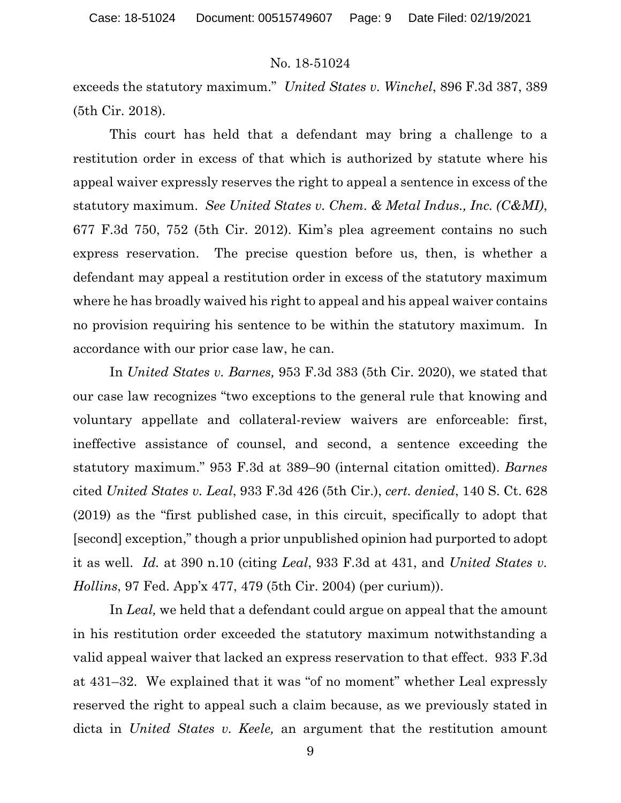exceeds the statutory maximum." *United States v. Winchel*, 896 F.3d 387, 389 (5th Cir. 2018).

This court has held that a defendant may bring a challenge to a restitution order in excess of that which is authorized by statute where his appeal waiver expressly reserves the right to appeal a sentence in excess of the statutory maximum. *See United States v. Chem. & Metal Indus., Inc. (C&MI)*, 677 F.3d 750, 752 (5th Cir. 2012). Kim's plea agreement contains no such express reservation. The precise question before us, then, is whether a defendant may appeal a restitution order in excess of the statutory maximum where he has broadly waived his right to appeal and his appeal waiver contains no provision requiring his sentence to be within the statutory maximum. In accordance with our prior case law, he can.

In *United States v. Barnes,* 953 F.3d 383 (5th Cir. 2020), we stated that our case law recognizes "two exceptions to the general rule that knowing and voluntary appellate and collateral-review waivers are enforceable: first, ineffective assistance of counsel, and second, a sentence exceeding the statutory maximum." 953 F.3d at 389–90 (internal citation omitted). *Barnes* cited *United States v. Leal*, 933 F.3d 426 (5th Cir.), *cert. denied*, 140 S. Ct. 628 (2019) as the "first published case, in this circuit, specifically to adopt that [second] exception," though a prior unpublished opinion had purported to adopt it as well. *Id.* at 390 n.10 (citing *Leal*, 933 F.3d at 431, and *United States v. Hollins*, 97 Fed. App'x 477, 479 (5th Cir. 2004) (per curium)).

In *Leal,* we held that a defendant could argue on appeal that the amount in his restitution order exceeded the statutory maximum notwithstanding a valid appeal waiver that lacked an express reservation to that effect. 933 F.3d at 431–32. We explained that it was "of no moment" whether Leal expressly reserved the right to appeal such a claim because, as we previously stated in dicta in *United States v. Keele,* an argument that the restitution amount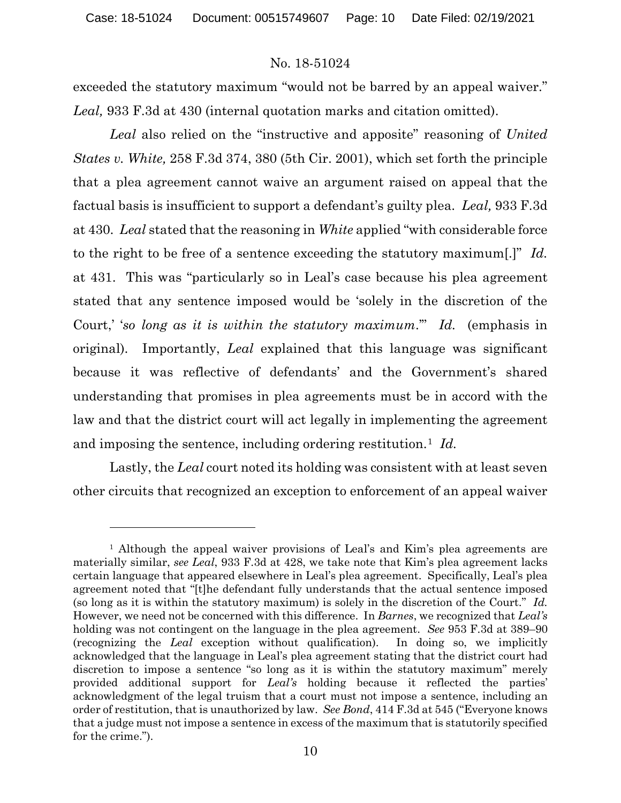exceeded the statutory maximum "would not be barred by an appeal waiver." *Leal,* 933 F.3d at 430 (internal quotation marks and citation omitted).

*Leal* also relied on the "instructive and apposite" reasoning of *United States v. White,* 258 F.3d 374, 380 (5th Cir. 2001), which set forth the principle that a plea agreement cannot waive an argument raised on appeal that the factual basis is insufficient to support a defendant's guilty plea. *Leal,* 933 F.3d at 430. *Leal* stated that the reasoning in *White* applied "with considerable force to the right to be free of a sentence exceeding the statutory maximum[.]" *Id.*  at 431. This was "particularly so in Leal's case because his plea agreement stated that any sentence imposed would be 'solely in the discretion of the Court,' '*so long as it is within the statutory maximum*.'" *Id.* (emphasis in original). Importantly, *Leal* explained that this language was significant because it was reflective of defendants' and the Government's shared understanding that promises in plea agreements must be in accord with the law and that the district court will act legally in implementing the agreement and imposing the sentence, including ordering restitution.<sup>[1](#page-9-0)</sup> *Id.* 

Lastly, the *Leal* court noted its holding was consistent with at least seven other circuits that recognized an exception to enforcement of an appeal waiver

<span id="page-9-0"></span><sup>1</sup> Although the appeal waiver provisions of Leal's and Kim's plea agreements are materially similar, *see Leal*, 933 F.3d at 428, we take note that Kim's plea agreement lacks certain language that appeared elsewhere in Leal's plea agreement. Specifically, Leal's plea agreement noted that "[t]he defendant fully understands that the actual sentence imposed (so long as it is within the statutory maximum) is solely in the discretion of the Court." *Id.* However, we need not be concerned with this difference. In *Barnes*, we recognized that *Leal's* holding was not contingent on the language in the plea agreement. *See* 953 F.3d at 389–90 (recognizing the *Leal* exception without qualification). In doing so, we implicitly acknowledged that the language in Leal's plea agreement stating that the district court had discretion to impose a sentence "so long as it is within the statutory maximum" merely provided additional support for *Leal's* holding because it reflected the parties' acknowledgment of the legal truism that a court must not impose a sentence, including an order of restitution, that is unauthorized by law. *See Bond*, 414 F.3d at 545 ("Everyone knows that a judge must not impose a sentence in excess of the maximum that is statutorily specified for the crime.").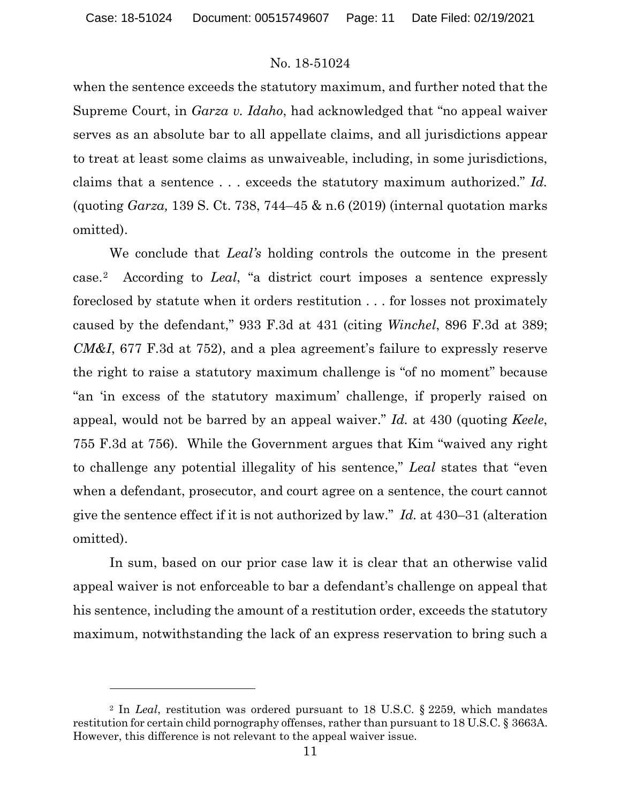when the sentence exceeds the statutory maximum, and further noted that the Supreme Court, in *Garza v. Idaho*, had acknowledged that "no appeal waiver serves as an absolute bar to all appellate claims, and all jurisdictions appear to treat at least some claims as unwaiveable, including, in some jurisdictions, claims that a sentence . . . exceeds the statutory maximum authorized." *Id.* (quoting *Garza,* 139 S. Ct. 738, 744–45 & n.6 (2019) (internal quotation marks omitted).

We conclude that *Leal's* holding controls the outcome in the present case.[2](#page-10-0) According to *Leal*, "a district court imposes a sentence expressly foreclosed by statute when it orders restitution . . . for losses not proximately caused by the defendant," 933 F.3d at 431 (citing *Winchel*, 896 F.3d at 389; *CM&I*, 677 F.3d at 752), and a plea agreement's failure to expressly reserve the right to raise a statutory maximum challenge is "of no moment" because "an 'in excess of the statutory maximum' challenge, if properly raised on appeal, would not be barred by an appeal waiver." *Id.* at 430 (quoting *Keele*, 755 F.3d at 756). While the Government argues that Kim "waived any right to challenge any potential illegality of his sentence," *Leal* states that "even when a defendant, prosecutor, and court agree on a sentence, the court cannot give the sentence effect if it is not authorized by law." *Id.* at 430–31 (alteration omitted).

In sum, based on our prior case law it is clear that an otherwise valid appeal waiver is not enforceable to bar a defendant's challenge on appeal that his sentence, including the amount of a restitution order, exceeds the statutory maximum, notwithstanding the lack of an express reservation to bring such a

<span id="page-10-0"></span><sup>2</sup> In *Leal*, restitution was ordered pursuant to 18 U.S.C. § 2259, which mandates restitution for certain child pornography offenses, rather than pursuant to 18 U.S.C. § 3663A. However, this difference is not relevant to the appeal waiver issue.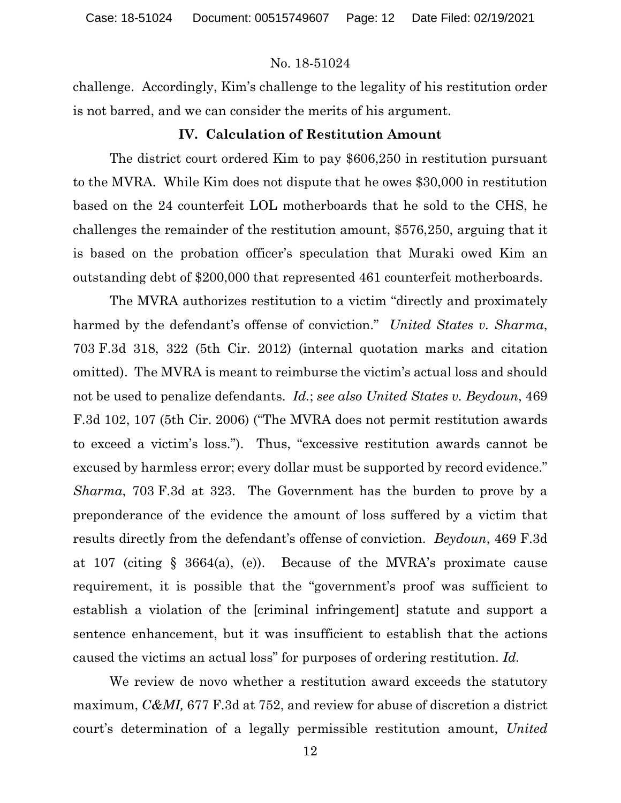challenge. Accordingly, Kim's challenge to the legality of his restitution order is not barred, and we can consider the merits of his argument.

#### **IV. Calculation of Restitution Amount**

The district court ordered Kim to pay \$606,250 in restitution pursuant to the MVRA. While Kim does not dispute that he owes \$30,000 in restitution based on the 24 counterfeit LOL motherboards that he sold to the CHS, he challenges the remainder of the restitution amount, \$576,250, arguing that it is based on the probation officer's speculation that Muraki owed Kim an outstanding debt of \$200,000 that represented 461 counterfeit motherboards.

The MVRA authorizes restitution to a victim "directly and proximately harmed by the defendant's offense of conviction." *United States v. Sharma*, 703 F.3d 318, 322 (5th Cir. 2012) (internal quotation marks and citation omitted). The MVRA is meant to reimburse the victim's actual loss and should not be used to penalize defendants. *Id.*; *see also United States v. Beydoun*, 469 F.3d 102, 107 (5th Cir. 2006) ("The MVRA does not permit restitution awards to exceed a victim's loss."). Thus, "excessive restitution awards cannot be excused by harmless error; every dollar must be supported by record evidence." *Sharma*, 703 F.3d at 323. The Government has the burden to prove by a preponderance of the evidence the amount of loss suffered by a victim that results directly from the defendant's offense of conviction. *Beydoun*, 469 F.3d at 107 (citing § 3664(a), (e)). Because of the MVRA's proximate cause requirement, it is possible that the "government's proof was sufficient to establish a violation of the [criminal infringement] statute and support a sentence enhancement, but it was insufficient to establish that the actions caused the victims an actual loss" for purposes of ordering restitution. *Id.*

We review de novo whether a restitution award exceeds the statutory maximum, *C&MI,* 677 F.3d at 752, and review for abuse of discretion a district court's determination of a legally permissible restitution amount, *United*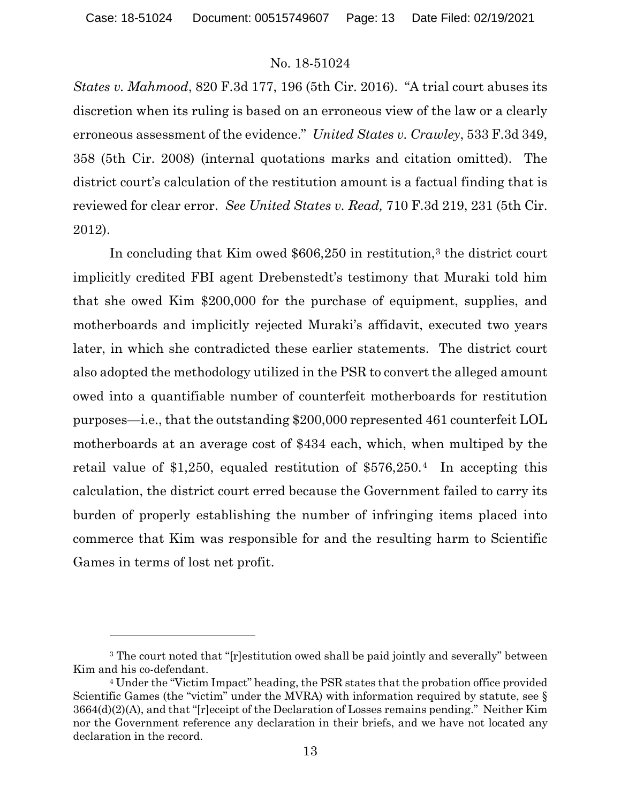*States v. Mahmood*, 820 F.3d 177, 196 (5th Cir. 2016). "A trial court abuses its discretion when its ruling is based on an erroneous view of the law or a clearly erroneous assessment of the evidence." *United States v. Crawley*, 533 F.3d 349, 358 (5th Cir. 2008) (internal quotations marks and citation omitted). The district court's calculation of the restitution amount is a factual finding that is reviewed for clear error. *See United States v. Read,* 710 F.3d 219, 231 (5th Cir. 2012).

In concluding that Kim owed  $$606,250$  in restitution,<sup>[3](#page-12-0)</sup> the district court implicitly credited FBI agent Drebenstedt's testimony that Muraki told him that she owed Kim \$200,000 for the purchase of equipment, supplies, and motherboards and implicitly rejected Muraki's affidavit, executed two years later, in which she contradicted these earlier statements. The district court also adopted the methodology utilized in the PSR to convert the alleged amount owed into a quantifiable number of counterfeit motherboards for restitution purposes—i.e., that the outstanding \$200,000 represented 461 counterfeit LOL motherboards at an average cost of \$434 each, which, when multiped by the retail value of \$1,250, equaled restitution of \$576,250.[4](#page-12-1) In accepting this calculation, the district court erred because the Government failed to carry its burden of properly establishing the number of infringing items placed into commerce that Kim was responsible for and the resulting harm to Scientific Games in terms of lost net profit.

<span id="page-12-0"></span><sup>&</sup>lt;sup>3</sup> The court noted that "[r]estitution owed shall be paid jointly and severally" between Kim and his co-defendant.

<span id="page-12-1"></span><sup>4</sup> Under the "Victim Impact" heading, the PSR states that the probation office provided Scientific Games (the "victim" under the MVRA) with information required by statute, see § 3664(d)(2)(A), and that "[r]eceipt of the Declaration of Losses remains pending." Neither Kim nor the Government reference any declaration in their briefs, and we have not located any declaration in the record.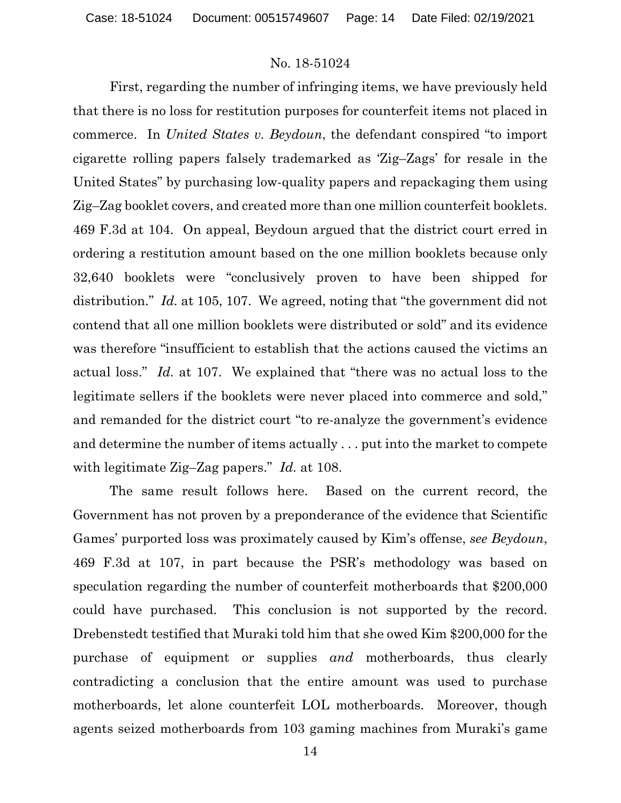First, regarding the number of infringing items, we have previously held that there is no loss for restitution purposes for counterfeit items not placed in commerce. In *United States v. Beydoun*, the defendant conspired "to import cigarette rolling papers falsely trademarked as 'Zig–Zags' for resale in the United States" by purchasing low-quality papers and repackaging them using Zig–Zag booklet covers, and created more than one million counterfeit booklets. 469 F.3d at 104. On appeal, Beydoun argued that the district court erred in ordering a restitution amount based on the one million booklets because only 32,640 booklets were "conclusively proven to have been shipped for distribution." *Id.* at 105, 107. We agreed, noting that "the government did not contend that all one million booklets were distributed or sold" and its evidence was therefore "insufficient to establish that the actions caused the victims an actual loss." *Id.* at 107. We explained that "there was no actual loss to the legitimate sellers if the booklets were never placed into commerce and sold," and remanded for the district court "to re-analyze the government's evidence and determine the number of items actually . . . put into the market to compete with legitimate Zig–Zag papers." *Id.* at 108.

The same result follows here. Based on the current record, the Government has not proven by a preponderance of the evidence that Scientific Games' purported loss was proximately caused by Kim's offense, *see Beydoun*, 469 F.3d at 107, in part because the PSR's methodology was based on speculation regarding the number of counterfeit motherboards that \$200,000 could have purchased. This conclusion is not supported by the record. Drebenstedt testified that Muraki told him that she owed Kim \$200,000 for the purchase of equipment or supplies *and* motherboards, thus clearly contradicting a conclusion that the entire amount was used to purchase motherboards, let alone counterfeit LOL motherboards. Moreover, though agents seized motherboards from 103 gaming machines from Muraki's game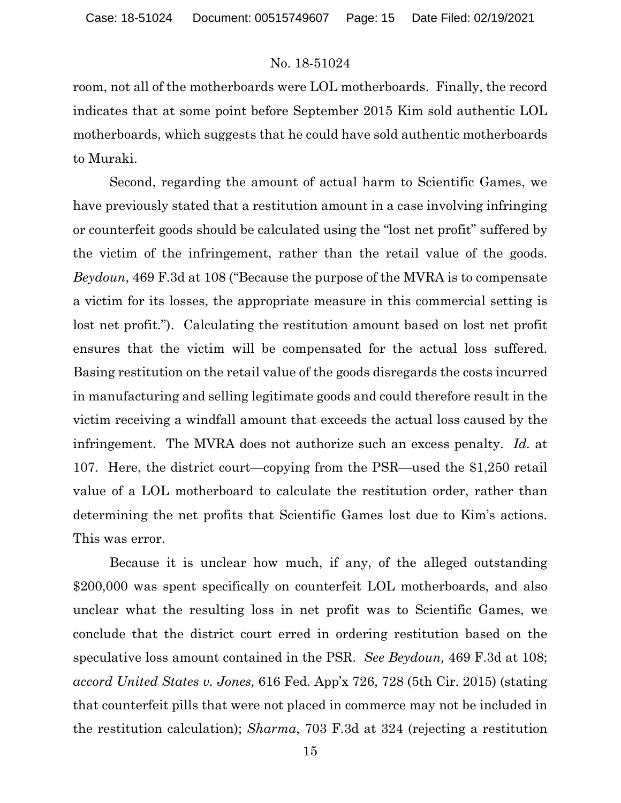room, not all of the motherboards were LOL motherboards. Finally, the record indicates that at some point before September 2015 Kim sold authentic LOL motherboards, which suggests that he could have sold authentic motherboards to Muraki.

Second, regarding the amount of actual harm to Scientific Games, we have previously stated that a restitution amount in a case involving infringing or counterfeit goods should be calculated using the "lost net profit" suffered by the victim of the infringement, rather than the retail value of the goods. *Beydoun*, 469 F.3d at 108 ("Because the purpose of the MVRA is to compensate a victim for its losses, the appropriate measure in this commercial setting is lost net profit."). Calculating the restitution amount based on lost net profit ensures that the victim will be compensated for the actual loss suffered. Basing restitution on the retail value of the goods disregards the costs incurred in manufacturing and selling legitimate goods and could therefore result in the victim receiving a windfall amount that exceeds the actual loss caused by the infringement. The MVRA does not authorize such an excess penalty. *Id.* at 107. Here, the district court—copying from the PSR—used the \$1,250 retail value of a LOL motherboard to calculate the restitution order, rather than determining the net profits that Scientific Games lost due to Kim's actions. This was error.

Because it is unclear how much, if any, of the alleged outstanding \$200,000 was spent specifically on counterfeit LOL motherboards, and also unclear what the resulting loss in net profit was to Scientific Games, we conclude that the district court erred in ordering restitution based on the speculative loss amount contained in the PSR. *See Beydoun,* 469 F.3d at 108; *accord United States v. Jones,* 616 Fed. App'x 726, 728 (5th Cir. 2015) (stating that counterfeit pills that were not placed in commerce may not be included in the restitution calculation); *Sharma*, 703 F.3d at 324 (rejecting a restitution